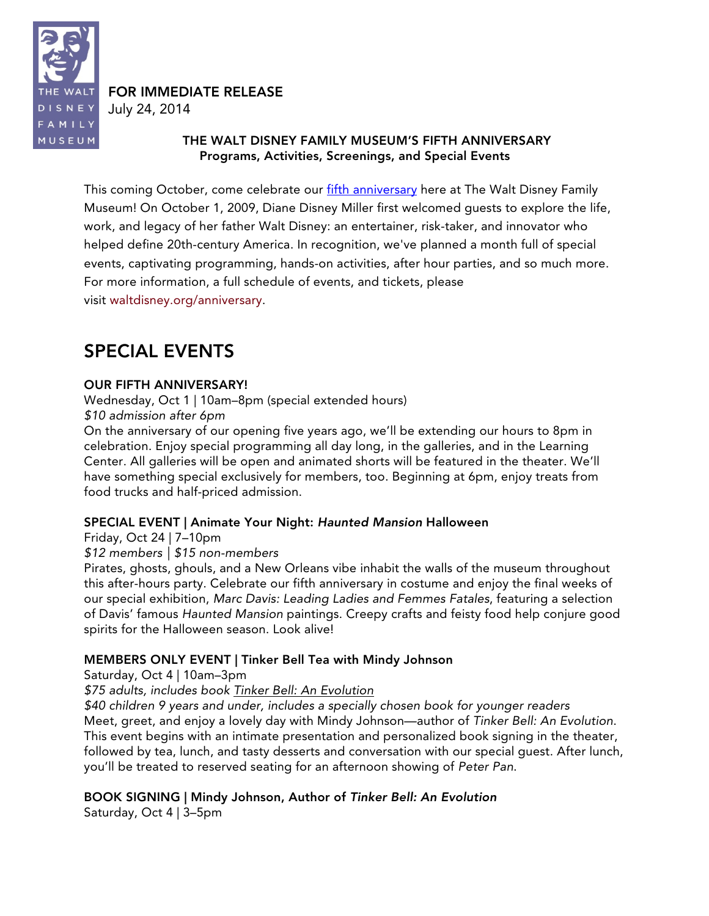

### FOR IMMEDIATE RELEASE

July 24, 2014

#### THE WALT DISNEY FAMILY MUSEUM'S FIFTH ANNIVERSARY Programs, Activities, Screenings, and Special Events

This coming October, come celebrate our fifth anniversary here at The Walt Disney Family Museum! On October 1, 2009, Diane Disney Miller first welcomed guests to explore the life, work, and legacy of her father Walt Disney: an entertainer, risk-taker, and innovator who helped define 20th-century America. In recognition, we've planned a month full of special events, captivating programming, hands-on activities, after hour parties, and so much more. For more information, a full schedule of events, and tickets, please visit waltdisney.org/anniversary.

# SPECIAL EVENTS

### OUR FIFTH ANNIVERSARY!

Wednesday, Oct 1 | 10am–8pm (special extended hours) *\$10 admission after 6pm*

On the anniversary of our opening five years ago, we'll be extending our hours to 8pm in celebration. Enjoy special programming all day long, in the galleries, and in the Learning Center. All galleries will be open and animated shorts will be featured in the theater. We'll have something special exclusively for members, too. Beginning at 6pm, enjoy treats from food trucks and half-priced admission.

### SPECIAL EVENT | Animate Your Night: *Haunted Mansion* Halloween

Friday, Oct 24 | 7–10pm

*\$12 members | \$15 non-members*

Pirates, ghosts, ghouls, and a New Orleans vibe inhabit the walls of the museum throughout this after-hours party. Celebrate our fifth anniversary in costume and enjoy the final weeks of our special exhibition, *Marc Davis: Leading Ladies and Femmes Fatales*, featuring a selection of Davis' famous *Haunted Mansion* paintings. Creepy crafts and feisty food help conjure good spirits for the Halloween season. Look alive!

## MEMBERS ONLY EVENT | Tinker Bell Tea with Mindy Johnson

Saturday, Oct 4 | 10am–3pm

*\$75 adults, includes book Tinker Bell: An Evolution*

*\$40 children 9 years and under, includes a specially chosen book for younger readers* Meet, greet, and enjoy a lovely day with Mindy Johnson—author of *Tinker Bell: An Evolution*. This event begins with an intimate presentation and personalized book signing in the theater, followed by tea, lunch, and tasty desserts and conversation with our special guest. After lunch, you'll be treated to reserved seating for an afternoon showing of *Peter Pan*.

## BOOK SIGNING | Mindy Johnson, Author of *Tinker Bell: An Evolution*

Saturday, Oct 4 | 3–5pm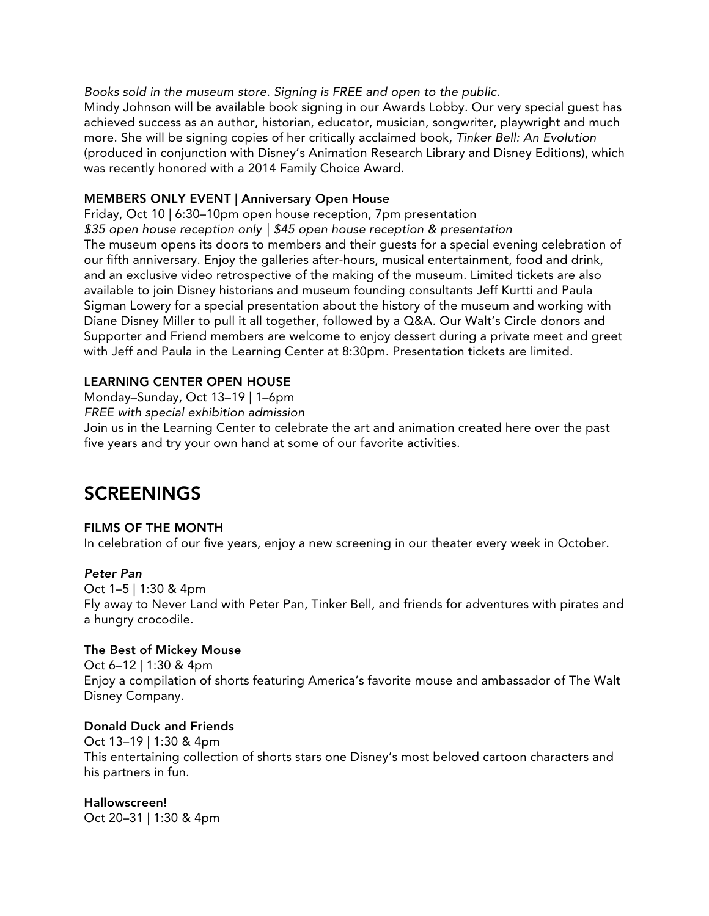*Books sold in the museum store. Signing is FREE and open to the public.*

Mindy Johnson will be available book signing in our Awards Lobby. Our very special guest has achieved success as an author, historian, educator, musician, songwriter, playwright and much more. She will be signing copies of her critically acclaimed book, *Tinker Bell: An Evolution* (produced in conjunction with Disney's Animation Research Library and Disney Editions), which was recently honored with a 2014 Family Choice Award.

#### MEMBERS ONLY EVENT | Anniversary Open House

Friday, Oct 10 | 6:30–10pm open house reception, 7pm presentation *\$35 open house reception only | \$45 open house reception & presentation* The museum opens its doors to members and their guests for a special evening celebration of our fifth anniversary. Enjoy the galleries after-hours, musical entertainment, food and drink, and an exclusive video retrospective of the making of the museum. Limited tickets are also available to join Disney historians and museum founding consultants Jeff Kurtti and Paula Sigman Lowery for a special presentation about the history of the museum and working with Diane Disney Miller to pull it all together, followed by a Q&A. Our Walt's Circle donors and Supporter and Friend members are welcome to enjoy dessert during a private meet and greet with Jeff and Paula in the Learning Center at 8:30pm. Presentation tickets are limited.

#### LEARNING CENTER OPEN HOUSE

Monday–Sunday, Oct 13–19 | 1–6pm

*FREE with special exhibition admission*

Join us in the Learning Center to celebrate the art and animation created here over the past five years and try your own hand at some of our favorite activities.

## **SCREENINGS**

a hungry crocodile.

#### FILMS OF THE MONTH

In celebration of our five years, enjoy a new screening in our theater every week in October.

#### *Peter Pan*

Oct 1–5 | 1:30 & 4pm Fly away to Never Land with Peter Pan, Tinker Bell, and friends for adventures with pirates and

# The Best of Mickey Mouse

Oct 6–12 | 1:30 & 4pm Enjoy a compilation of shorts featuring America's favorite mouse and ambassador of The Walt Disney Company.

#### Donald Duck and Friends

Oct 13–19 | 1:30 & 4pm This entertaining collection of shorts stars one Disney's most beloved cartoon characters and his partners in fun.

Hallowscreen! Oct 20–31 | 1:30 & 4pm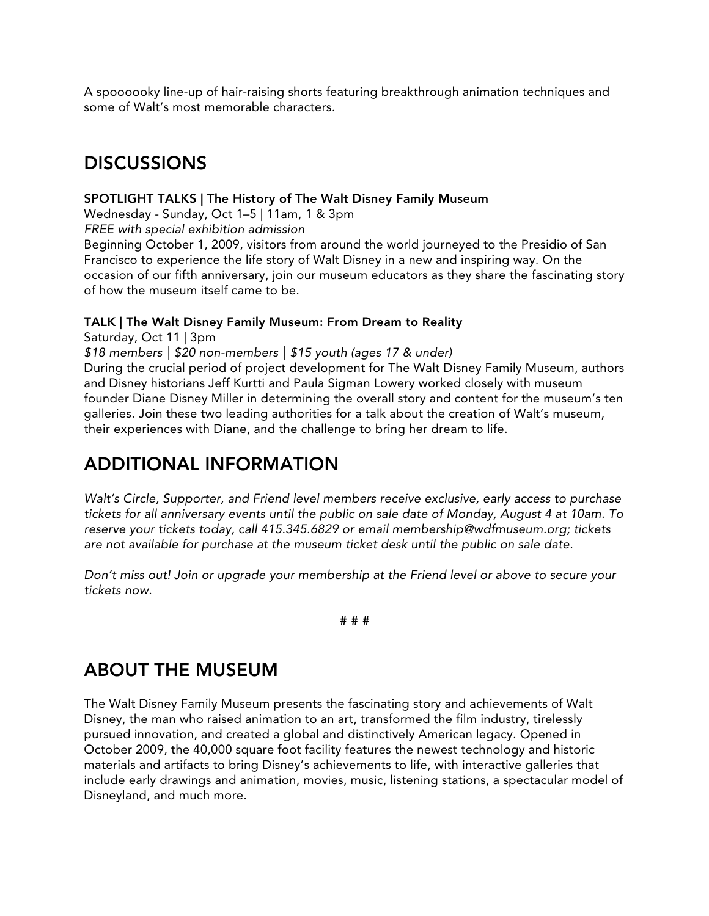A spoooooky line-up of hair-raising shorts featuring breakthrough animation techniques and some of Walt's most memorable characters.

## DISCUSSIONS

#### SPOTLIGHT TALKS | The History of The Walt Disney Family Museum

Wednesday - Sunday, Oct 1–5 | 11am, 1 & 3pm

*FREE with special exhibition admission*

Beginning October 1, 2009, visitors from around the world journeyed to the Presidio of San Francisco to experience the life story of Walt Disney in a new and inspiring way. On the occasion of our fifth anniversary, join our museum educators as they share the fascinating story of how the museum itself came to be.

#### TALK | The Walt Disney Family Museum: From Dream to Reality

Saturday, Oct 11 | 3pm

*\$18 members | \$20 non-members | \$15 youth (ages 17 & under)*

During the crucial period of project development for The Walt Disney Family Museum, authors and Disney historians Jeff Kurtti and Paula Sigman Lowery worked closely with museum founder Diane Disney Miller in determining the overall story and content for the museum's ten galleries. Join these two leading authorities for a talk about the creation of Walt's museum, their experiences with Diane, and the challenge to bring her dream to life.

# ADDITIONAL INFORMATION

*Walt's Circle, Supporter, and Friend level members receive exclusive, early access to purchase tickets for all anniversary events until the public on sale date of Monday, August 4 at 10am. To reserve your tickets today, call 415.345.6829 or email membership@wdfmuseum.org; tickets are not available for purchase at the museum ticket desk until the public on sale date.*

*Don't miss out! Join or upgrade your membership at the Friend level or above to secure your tickets now.*

#### # # #

## ABOUT THE MUSEUM

The Walt Disney Family Museum presents the fascinating story and achievements of Walt Disney, the man who raised animation to an art, transformed the film industry, tirelessly pursued innovation, and created a global and distinctively American legacy. Opened in October 2009, the 40,000 square foot facility features the newest technology and historic materials and artifacts to bring Disney's achievements to life, with interactive galleries that include early drawings and animation, movies, music, listening stations, a spectacular model of Disneyland, and much more.